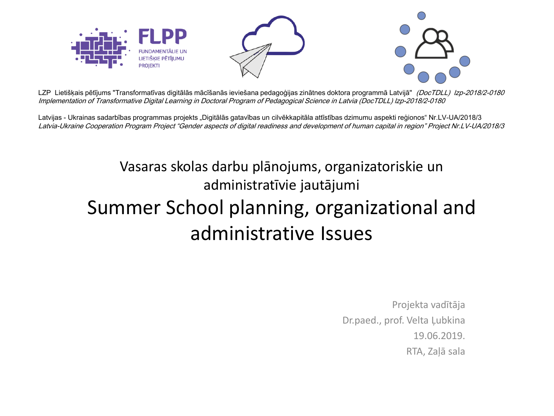

LZP Lietišķais pētījums "Transformatīvas digitālās mācīšanās ieviešana pedagoģijas zinātnes doktora programmā Latvijā" (DocTDLL) Izp-2018/2-0180 Implementation of Transformative Digital Learning in Doctoral Program of Pedagogical Science in Latvia (DocTDLL) lzp-2018/2-0180

Latvijas - Ukrainas sadarbības programmas projekts "Digitālās gatavības un cilvēkkapitāla attīstības dzimumu aspekti reģionos" Nr.LV-UA/2018/3 Latvia-Ukraine Cooperation Program Project "Gender aspects of digital readiness and development of human capital in region" Project Nr.LV-UA/2018/3

#### Vasaras skolas darbu plānojums, organizatoriskie un administratīvie jautājumi Summer School planning, organizational and administrative Issues

Projekta vadītāja Dr.paed., prof. Velta Lubkina 19.06.2019. RTA, Zaļā sala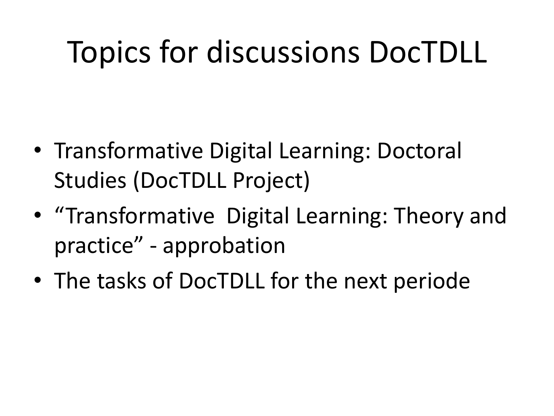## Topics for discussions DocTDLL

- Transformative Digital Learning: Doctoral Studies (DocTDLL Project)
- "Transformative Digital Learning: Theory and practice" - approbation
- The tasks of DocTDLL for the next periode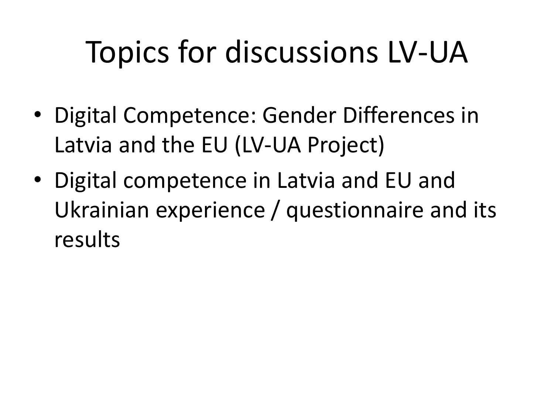# Topics for discussions LV-UA

- Digital Competence: Gender Differences in Latvia and the EU (LV-UA Project)
- Digital competence in Latvia and EU and Ukrainian experience / questionnaire and its results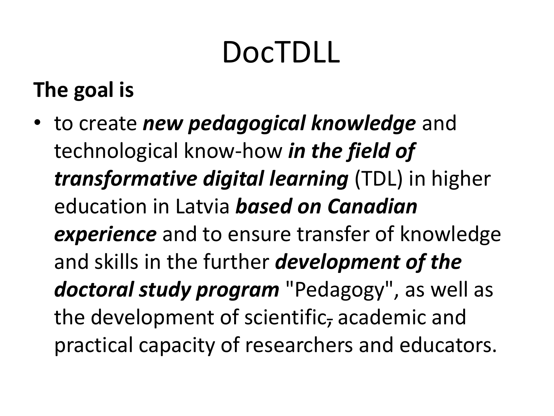# DocTDLL

### **The goal is**

• to create *new pedagogical knowledge* and technological know-how *in the field of transformative digital learning* (TDL) in higher education in Latvia *based on Canadian experience* and to ensure transfer of knowledge and skills in the further *development of the doctoral study program* "Pedagogy", as well as the development of scientific, academic and practical capacity of researchers and educators.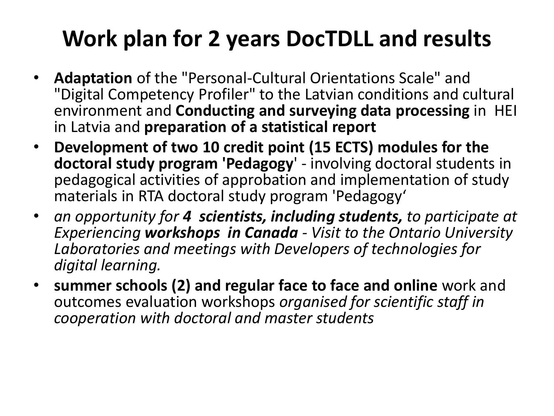### **Work plan for 2 years DocTDLL and results**

- **Adaptation** of the "Personal-Cultural Orientations Scale" and "Digital Competency Profiler" to the Latvian conditions and cultural environment and **Conducting and surveying data processing** in HEI in Latvia and **preparation of a statistical report**
- **Development of two 10 credit point (15 ECTS) modules for the doctoral study program 'Pedagogy**' - involving doctoral students in pedagogical activities of approbation and implementation of study materials in RTA doctoral study program 'Pedagogy'
- *an opportunity for 4 scientists, including students, to participate at Experiencing workshops in Canada - Visit to the Ontario University Laboratories and meetings with Developers of technologies for digital learning.*
- **summer schools (2) and regular face to face and online** work and outcomes evaluation workshops *organised for scientific staff in cooperation with doctoral and master students*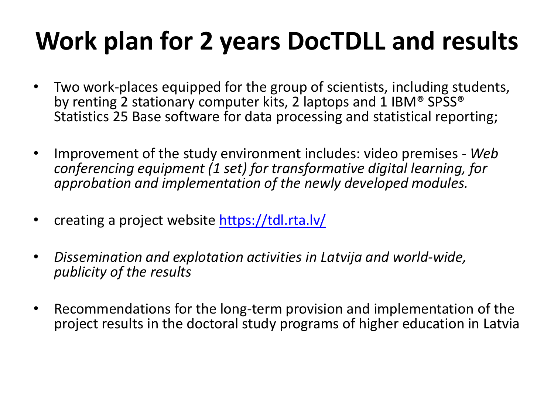### **Work plan for 2 years DocTDLL and results**

- Two work-places equipped for the group of scientists, including students, by renting 2 stationary computer kits, 2 laptops and 1 IBM® SPSS® Statistics 25 Base software for data processing and statistical reporting;
- Improvement of the study environment includes: video premises *Web conferencing equipment (1 set) for transformative digital learning, for approbation and implementation of the newly developed modules.*
- creating a project website <https://tdl.rta.lv/>
- *Dissemination and explotation activities in Latvija and world-wide, publicity of the results*
- Recommendations for the long-term provision and implementation of the project results in the doctoral study programs of higher education in Latvia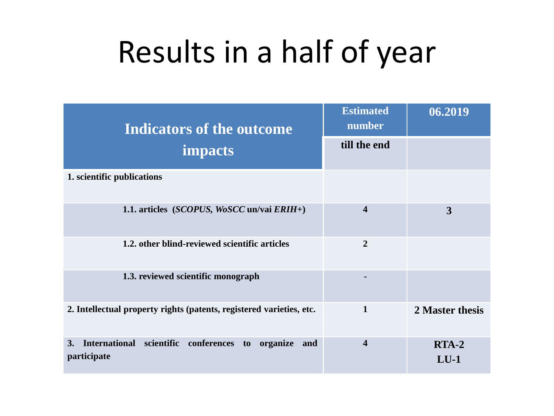## Results in a half of year

| <b>Indicators of the outcome</b><br><b>impacts</b>                              | <b>Estimated</b><br>number | 06.2019           |
|---------------------------------------------------------------------------------|----------------------------|-------------------|
|                                                                                 | till the end               |                   |
| 1. scientific publications                                                      |                            |                   |
| 1.1. articles (SCOPUS, WoSCC un/vai $ERIH+$ )                                   | $\boldsymbol{4}$           | 3                 |
| 1.2. other blind-reviewed scientific articles                                   | $\overline{2}$             |                   |
| 1.3. reviewed scientific monograph                                              | ۰                          |                   |
| 2. Intellectual property rights (patents, registered varieties, etc.            | 1                          | 2 Master thesis   |
| International scientific conferences to<br>3.<br>organize<br>and<br>participate | $\boldsymbol{4}$           | $RTA-2$<br>$LU-1$ |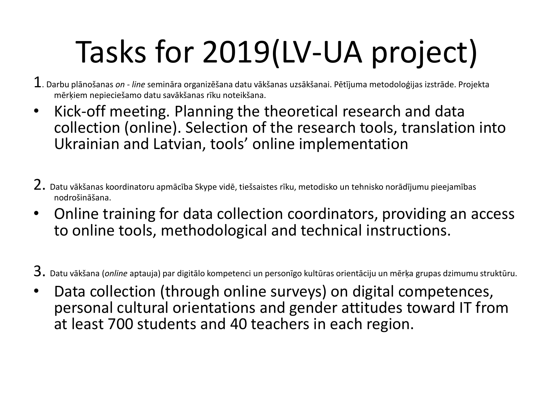# Tasks for 2019(LV-UA project)

1. Darbu plānošanas *on - line* semināra organizēšana datu vākšanas uzsākšanai. Pētījuma metodoloģijas izstrāde. Projekta mērķiem nepieciešamo datu savākšanas rīku noteikšana.

• Kick-off meeting. Planning the theoretical research and data collection (online). Selection of the research tools, translation into Ukrainian and Latvian, tools' online implementation

2. Datu vākšanas koordinatoru apmācība Skype vidē, tiešsaistes rīku, metodisko un tehnisko norādījumu pieejamības nodrošināšana.

• Online training for data collection coordinators, providing an access to online tools, methodological and technical instructions.

3. Datu vākšana (*online* aptauja) par digitālo kompetenci un personīgo kultūras orientāciju un mērķa grupas dzimumu struktūru.

• Data collection (through online surveys) on digital competences, personal cultural orientations and gender attitudes toward IT from at least 700 students and 40 teachers in each region.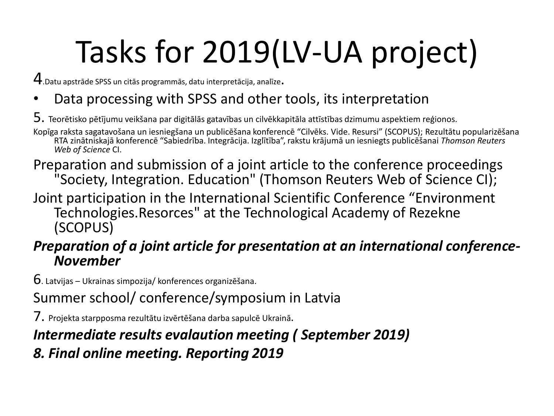# Tasks for 2019(LV-UA project)

4.Datu apstrāde SPSS un citās programmās, datu interpretācija, analīze.

#### • Data processing with SPSS and other tools, its interpretation

 $5.$  Teorētisko pētījumu veikšana par digitālās gatavības un cilvēkkapitāla attīstības dzimumu aspektiem reģionos.

Kopīga raksta sagatavošana un iesniegšana un publicēšana konferencē "Cilvēks. Vide. Resursi" (SCOPUS); Rezultātu popularizēšana RTA zinātniskajā konferencē "Sabiedrība. Integrācija. Izglītība", rakstu krājumā un iesniegts publicēšanai *Thomson Reuters Web of Science* CI.

Preparation and submission of a joint article to the conference proceedings "Society, Integration. Education" (Thomson Reuters Web of Science CI);

Joint participation in the International Scientific Conference "Environment Technologies.Resorces" at the Technological Academy of Rezekne (SCOPUS)

#### *Preparation of a joint article for presentation at an international conference-November*

6. Latvijas – Ukrainas simpozija/ konferences organizēšana.

Summer school/ conference/symposium in Latvia

7. Projekta starpposma rezultātu izvērtēšana darba sapulcē Ukrainā**.**

#### *Intermediate results evalaution meeting ( September 2019)*

*8. Final online meeting. Reporting 2019*